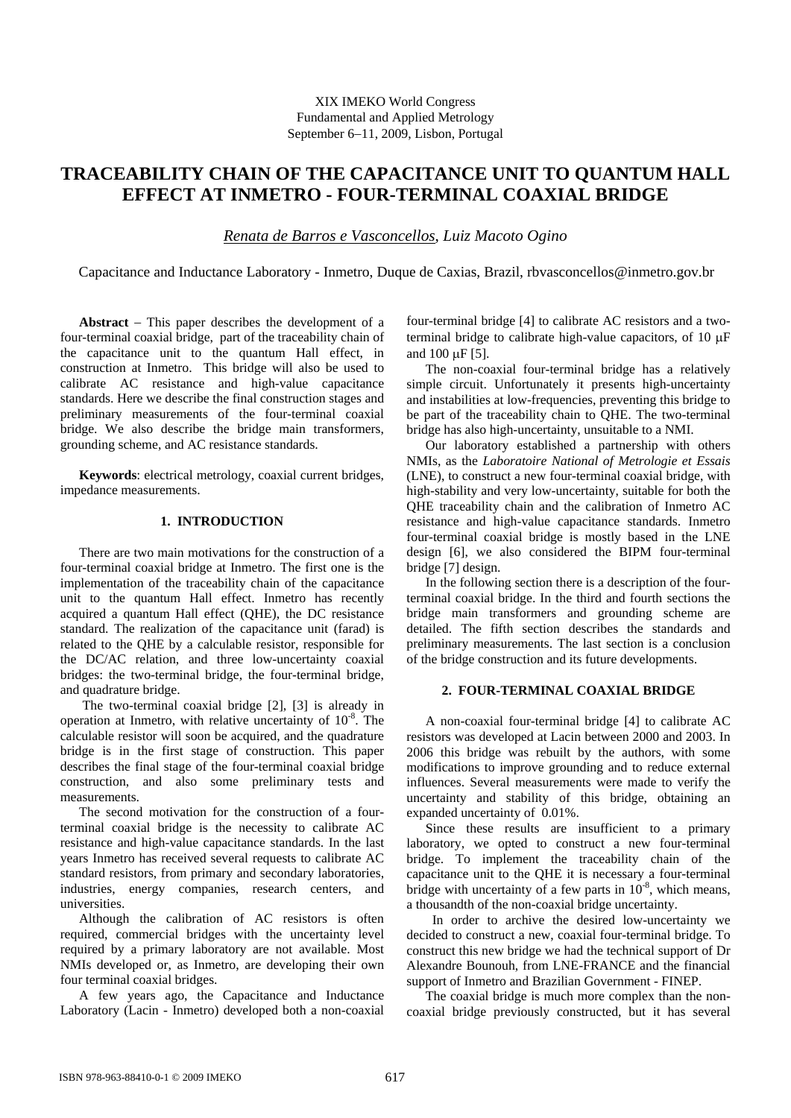# **TRACEABILITY CHAIN OF THE CAPACITANCE UNIT TO QUANTUM HALL EFFECT AT INMETRO - FOUR-TERMINAL COAXIAL BRIDGE**

*Renata de Barros e Vasconcellos*, *Luiz Macoto Ogino* 

Capacitance and Inductance Laboratory - Inmetro, Duque de Caxias, Brazil, rbvasconcellos@inmetro.gov.br

**Abstract** − This paper describes the development of a four-terminal coaxial bridge, part of the traceability chain of the capacitance unit to the quantum Hall effect, in construction at Inmetro. This bridge will also be used to calibrate AC resistance and high-value capacitance standards. Here we describe the final construction stages and preliminary measurements of the four-terminal coaxial bridge. We also describe the bridge main transformers, grounding scheme, and AC resistance standards.

**Keywords**: electrical metrology, coaxial current bridges, impedance measurements.

# **1. INTRODUCTION**

There are two main motivations for the construction of a four-terminal coaxial bridge at Inmetro. The first one is the implementation of the traceability chain of the capacitance unit to the quantum Hall effect. Inmetro has recently acquired a quantum Hall effect (QHE), the DC resistance standard. The realization of the capacitance unit (farad) is related to the QHE by a calculable resistor, responsible for the DC/AC relation, and three low-uncertainty coaxial bridges: the two-terminal bridge, the four-terminal bridge, and quadrature bridge.

 The two-terminal coaxial bridge [2], [3] is already in operation at Inmetro, with relative uncertainty of  $10^{-8}$ . The calculable resistor will soon be acquired, and the quadrature bridge is in the first stage of construction. This paper describes the final stage of the four-terminal coaxial bridge construction, and also some preliminary tests and measurements.

The second motivation for the construction of a fourterminal coaxial bridge is the necessity to calibrate AC resistance and high-value capacitance standards. In the last years Inmetro has received several requests to calibrate AC standard resistors, from primary and secondary laboratories, industries, energy companies, research centers, and universities.

Although the calibration of AC resistors is often required, commercial bridges with the uncertainty level required by a primary laboratory are not available. Most NMIs developed or, as Inmetro, are developing their own four terminal coaxial bridges.

A few years ago, the Capacitance and Inductance Laboratory (Lacin - Inmetro) developed both a non-coaxial four-terminal bridge [4] to calibrate AC resistors and a twoterminal bridge to calibrate high-value capacitors, of 10 μF and 100 μF [5].

The non-coaxial four-terminal bridge has a relatively simple circuit. Unfortunately it presents high-uncertainty and instabilities at low-frequencies, preventing this bridge to be part of the traceability chain to QHE. The two-terminal bridge has also high-uncertainty, unsuitable to a NMI.

Our laboratory established a partnership with others NMIs, as the *Laboratoire National of Metrologie et Essais*  (LNE), to construct a new four-terminal coaxial bridge, with high-stability and very low-uncertainty, suitable for both the QHE traceability chain and the calibration of Inmetro AC resistance and high-value capacitance standards. Inmetro four-terminal coaxial bridge is mostly based in the LNE design [6], we also considered the BIPM four-terminal bridge [7] design.

In the following section there is a description of the fourterminal coaxial bridge. In the third and fourth sections the bridge main transformers and grounding scheme are detailed. The fifth section describes the standards and preliminary measurements. The last section is a conclusion of the bridge construction and its future developments.

# **2. FOUR-TERMINAL COAXIAL BRIDGE**

A non-coaxial four-terminal bridge [4] to calibrate AC resistors was developed at Lacin between 2000 and 2003. In 2006 this bridge was rebuilt by the authors, with some modifications to improve grounding and to reduce external influences. Several measurements were made to verify the uncertainty and stability of this bridge, obtaining an expanded uncertainty of 0.01%.

Since these results are insufficient to a primary laboratory, we opted to construct a new four-terminal bridge. To implement the traceability chain of the capacitance unit to the QHE it is necessary a four-terminal bridge with uncertainty of a few parts in  $10^{-8}$ , which means, a thousandth of the non-coaxial bridge uncertainty.

 In order to archive the desired low-uncertainty we decided to construct a new, coaxial four-terminal bridge. To construct this new bridge we had the technical support of Dr Alexandre Bounouh, from LNE-FRANCE and the financial support of Inmetro and Brazilian Government - FINEP.

The coaxial bridge is much more complex than the noncoaxial bridge previously constructed, but it has several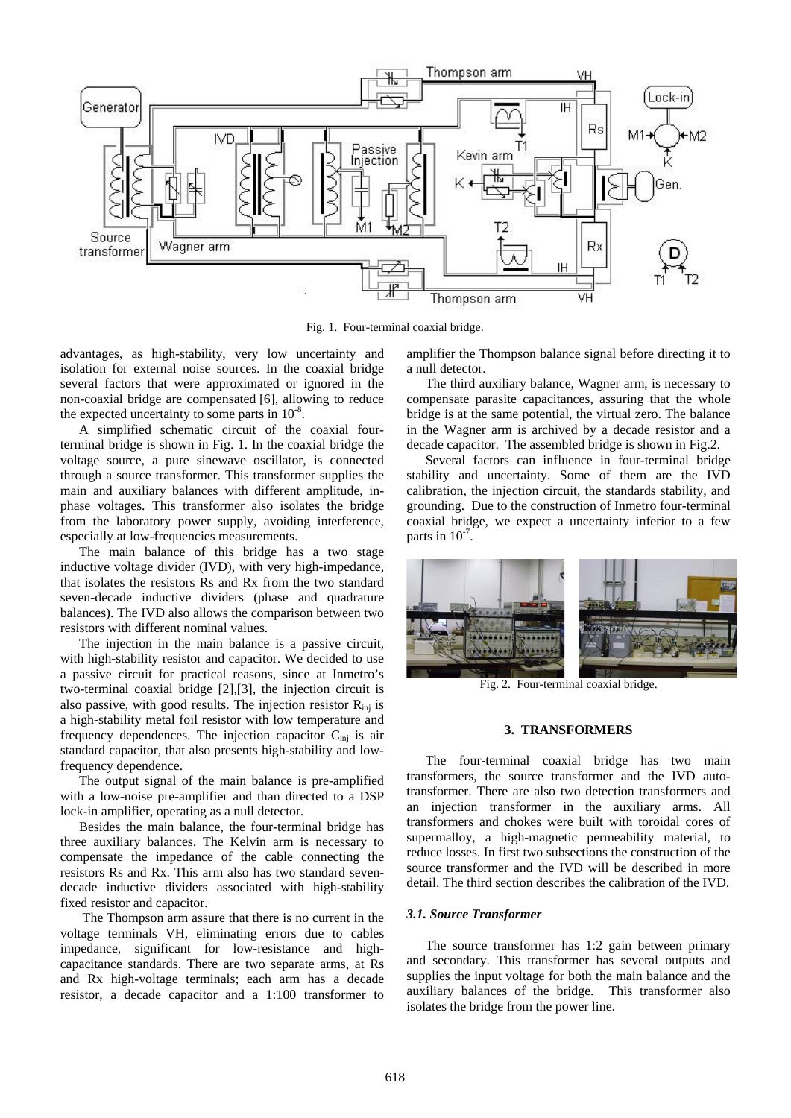

Fig. 1. Four-terminal coaxial bridge.

advantages, as high-stability, very low uncertainty and isolation for external noise sources. In the coaxial bridge several factors that were approximated or ignored in the non-coaxial bridge are compensated [6], allowing to reduce the expected uncertainty to some parts in  $10^{-8}$ .

A simplified schematic circuit of the coaxial fourterminal bridge is shown in Fig. 1. In the coaxial bridge the voltage source, a pure sinewave oscillator, is connected through a source transformer. This transformer supplies the main and auxiliary balances with different amplitude, inphase voltages. This transformer also isolates the bridge from the laboratory power supply, avoiding interference, especially at low-frequencies measurements.

The main balance of this bridge has a two stage inductive voltage divider (IVD), with very high-impedance, that isolates the resistors Rs and Rx from the two standard seven-decade inductive dividers (phase and quadrature balances). The IVD also allows the comparison between two resistors with different nominal values.

The injection in the main balance is a passive circuit, with high-stability resistor and capacitor. We decided to use a passive circuit for practical reasons, since at Inmetro's two-terminal coaxial bridge [2],[3], the injection circuit is also passive, with good results. The injection resistor  $R_{\text{ini}}$  is a high-stability metal foil resistor with low temperature and frequency dependences. The injection capacitor  $C_{\text{ini}}$  is air standard capacitor, that also presents high-stability and lowfrequency dependence.

The output signal of the main balance is pre-amplified with a low-noise pre-amplifier and than directed to a DSP lock-in amplifier, operating as a null detector.

Besides the main balance, the four-terminal bridge has three auxiliary balances. The Kelvin arm is necessary to compensate the impedance of the cable connecting the resistors Rs and Rx. This arm also has two standard sevendecade inductive dividers associated with high-stability fixed resistor and capacitor.

 The Thompson arm assure that there is no current in the voltage terminals VH, eliminating errors due to cables impedance, significant for low-resistance and highcapacitance standards. There are two separate arms, at Rs and Rx high-voltage terminals; each arm has a decade resistor, a decade capacitor and a 1:100 transformer to amplifier the Thompson balance signal before directing it to a null detector.

The third auxiliary balance, Wagner arm, is necessary to compensate parasite capacitances, assuring that the whole bridge is at the same potential, the virtual zero. The balance in the Wagner arm is archived by a decade resistor and a decade capacitor. The assembled bridge is shown in Fig.2.

Several factors can influence in four-terminal bridge stability and uncertainty. Some of them are the IVD calibration, the injection circuit, the standards stability, and grounding. Due to the construction of Inmetro four-terminal coaxial bridge, we expect a uncertainty inferior to a few parts in  $10^{-7}$ .



Fig. 2. Four-terminal coaxial bridge.

## **3. TRANSFORMERS**

 The four-terminal coaxial bridge has two main transformers, the source transformer and the IVD autotransformer. There are also two detection transformers and an injection transformer in the auxiliary arms. All transformers and chokes were built with toroidal cores of supermalloy, a high-magnetic permeability material, to reduce losses. In first two subsections the construction of the source transformer and the IVD will be described in more detail. The third section describes the calibration of the IVD.

#### *3.1. Source Transformer*

 The source transformer has 1:2 gain between primary and secondary. This transformer has several outputs and supplies the input voltage for both the main balance and the auxiliary balances of the bridge. This transformer also isolates the bridge from the power line.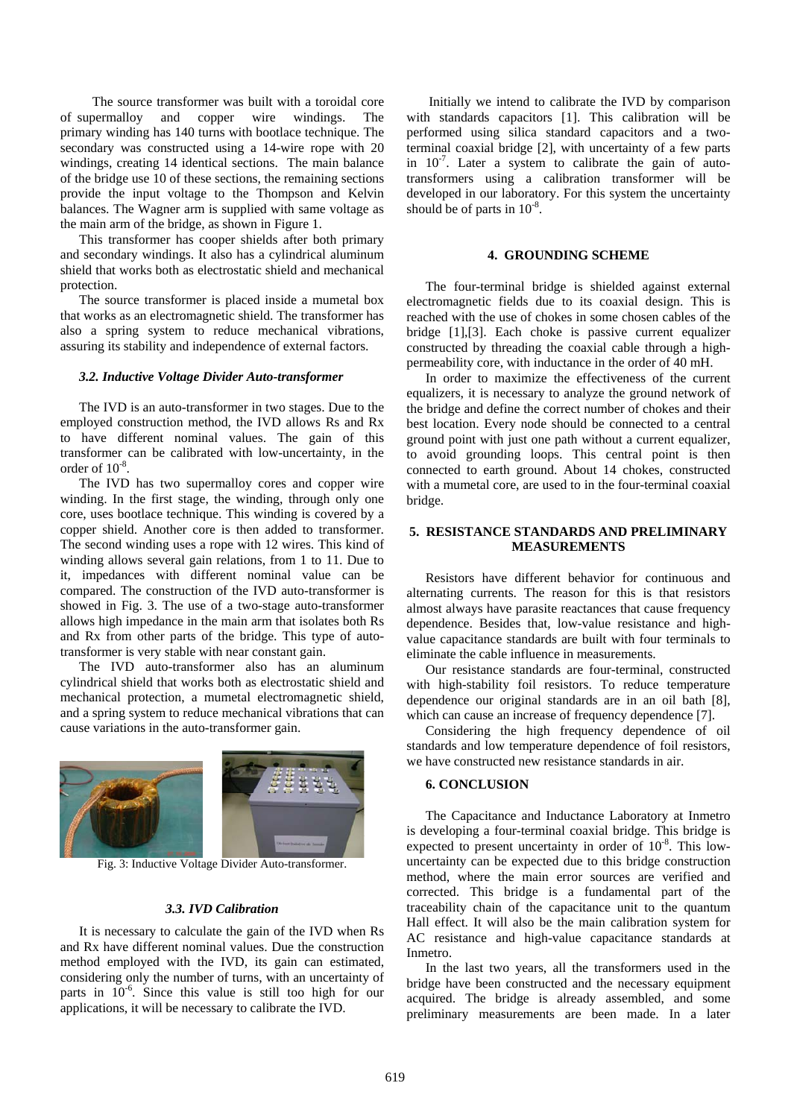The source transformer was built with a toroidal core of supermalloy and copper wire windings. The primary winding has 140 turns with bootlace technique. The secondary was constructed using a 14-wire rope with 20 windings, creating 14 identical sections. The main balance of the bridge use 10 of these sections, the remaining sections provide the input voltage to the Thompson and Kelvin balances. The Wagner arm is supplied with same voltage as the main arm of the bridge, as shown in Figure 1.

This transformer has cooper shields after both primary and secondary windings. It also has a cylindrical aluminum shield that works both as electrostatic shield and mechanical protection.

The source transformer is placed inside a mumetal box that works as an electromagnetic shield. The transformer has also a spring system to reduce mechanical vibrations, assuring its stability and independence of external factors.

#### *3.2. Inductive Voltage Divider Auto-transformer*

 The IVD is an auto-transformer in two stages. Due to the employed construction method, the IVD allows Rs and Rx to have different nominal values. The gain of this transformer can be calibrated with low-uncertainty, in the order of 10-8.

 The IVD has two supermalloy cores and copper wire winding. In the first stage, the winding, through only one core, uses bootlace technique. This winding is covered by a copper shield. Another core is then added to transformer. The second winding uses a rope with 12 wires. This kind of winding allows several gain relations, from 1 to 11. Due to it, impedances with different nominal value can be compared. The construction of the IVD auto-transformer is showed in Fig. 3. The use of a two-stage auto-transformer allows high impedance in the main arm that isolates both Rs and Rx from other parts of the bridge. This type of autotransformer is very stable with near constant gain.

 The IVD auto-transformer also has an aluminum cylindrical shield that works both as electrostatic shield and mechanical protection, a mumetal electromagnetic shield, and a spring system to reduce mechanical vibrations that can cause variations in the auto-transformer gain.



Fig. 3: Inductive Voltage Divider Auto-transformer.

#### *3.3. IVD Calibration*

 It is necessary to calculate the gain of the IVD when Rs and Rx have different nominal values. Due the construction method employed with the IVD, its gain can estimated, considering only the number of turns, with an uncertainty of parts in  $10^{-6}$ . Since this value is still too high for our applications, it will be necessary to calibrate the IVD.

 Initially we intend to calibrate the IVD by comparison with standards capacitors [1]. This calibration will be performed using silica standard capacitors and a twoterminal coaxial bridge [2], with uncertainty of a few parts in  $10^{-7}$ . Later a system to calibrate the gain of autotransformers using a calibration transformer will be developed in our laboratory. For this system the uncertainty should be of parts in  $10^{-8}$ .

## **4. GROUNDING SCHEME**

The four-terminal bridge is shielded against external electromagnetic fields due to its coaxial design. This is reached with the use of chokes in some chosen cables of the bridge [1],[3]. Each choke is passive current equalizer constructed by threading the coaxial cable through a highpermeability core, with inductance in the order of 40 mH.

In order to maximize the effectiveness of the current equalizers, it is necessary to analyze the ground network of the bridge and define the correct number of chokes and their best location. Every node should be connected to a central ground point with just one path without a current equalizer, to avoid grounding loops. This central point is then connected to earth ground. About 14 chokes, constructed with a mumetal core, are used to in the four-terminal coaxial bridge.

# **5. RESISTANCE STANDARDS AND PRELIMINARY MEASUREMENTS**

Resistors have different behavior for continuous and alternating currents. The reason for this is that resistors almost always have parasite reactances that cause frequency dependence. Besides that, low-value resistance and highvalue capacitance standards are built with four terminals to eliminate the cable influence in measurements.

Our resistance standards are four-terminal, constructed with high-stability foil resistors. To reduce temperature dependence our original standards are in an oil bath [8], which can cause an increase of frequency dependence [7].

Considering the high frequency dependence of oil standards and low temperature dependence of foil resistors, we have constructed new resistance standards in air.

## **6. CONCLUSION**

The Capacitance and Inductance Laboratory at Inmetro is developing a four-terminal coaxial bridge. This bridge is expected to present uncertainty in order of  $10^{-8}$ . This lowuncertainty can be expected due to this bridge construction method, where the main error sources are verified and corrected. This bridge is a fundamental part of the traceability chain of the capacitance unit to the quantum Hall effect. It will also be the main calibration system for AC resistance and high-value capacitance standards at Inmetro.

 In the last two years, all the transformers used in the bridge have been constructed and the necessary equipment acquired. The bridge is already assembled, and some preliminary measurements are been made. In a later